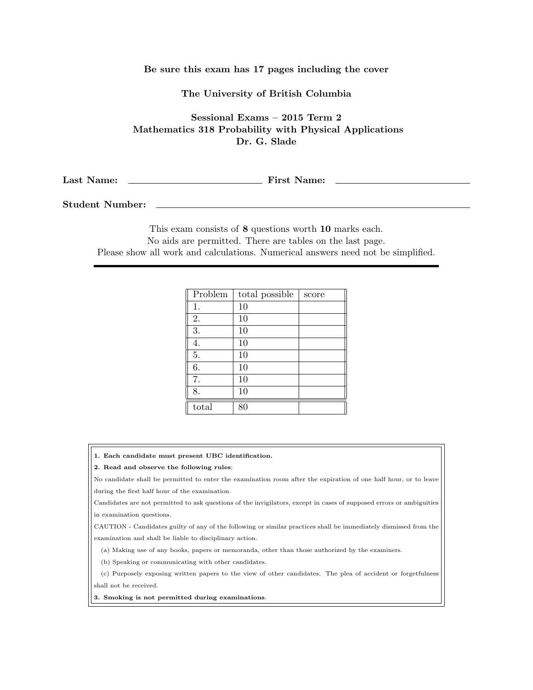## Be sure this exam has 17 pages including the cover

## The University of British Columbia

Sessional Exams – 2015 Term 2 Mathematics 318 Probability with Physical Applications Dr. G. Slade

Last Name: First Name:

Student Number:

This exam consists of 8 questions worth 10 marks each. No aids are permitted. There are tables on the last page. Please show all work and calculations. Numerical answers need not be simplified.

| Problem | total possible | score |
|---------|----------------|-------|
| 1.      | 10             |       |
| 2.      | 10             |       |
| 3.      | 10             |       |
| 4.      | 10             |       |
| 5.      | 10             |       |
| 6.      | 10             |       |
| 7.      | 10             |       |
| 8.      | 10             |       |
| total   | 80             |       |

1. Each candidate must present UBC identification.

## 2. Read and observe the following rules:

No candidate shall be permitted to enter the examination room after the expiration of one half hour, or to leave during the first half hour of the examination.

Candidates are not permitted to ask questions of the invigilators, except in cases of supposed errors or ambiguities in examination questions.

CAUTION - Candidates guilty of any of the following or similar practices shall be immediately dismissed from the examination and shall be liable to disciplinary action.

(a) Making use of any books, papers or memoranda, other than those authorized by the examiners.

(b) Speaking or communicating with other candidates.

(c) Purposely exposing written papers to the view of other candidates. The plea of accident or forgetfulness shall not be received.

3. Smoking is not permitted during examinations.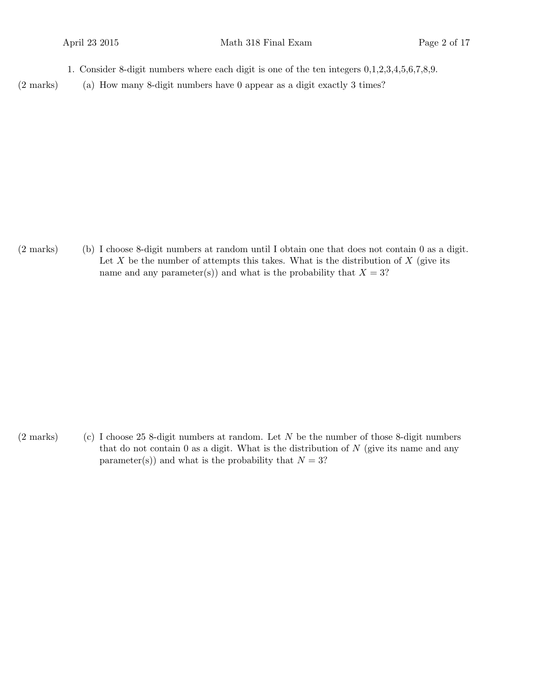- 1. Consider 8-digit numbers where each digit is one of the ten integers 0,1,2,3,4,5,6,7,8,9.
- $(2 \text{ marks})$  (a) How many 8-digit numbers have 0 appear as a digit exactly 3 times?

(b)(2 marks) I choose 8-digit numbers at random until I obtain one that does not contain 0 as a digit. Let  $X$  be the number of attempts this takes. What is the distribution of  $X$  (give its name and any parameter(s)) and what is the probability that  $X = 3$ ?

(2 marks) I choose 25 8-digit numbers at random. Let  $N$  be the number of those 8-digit numbers that do not contain  $\theta$  as a digit. What is the distribution of  $N$  (give its name and any parameter(s)) and what is the probability that  $N = 3$ ?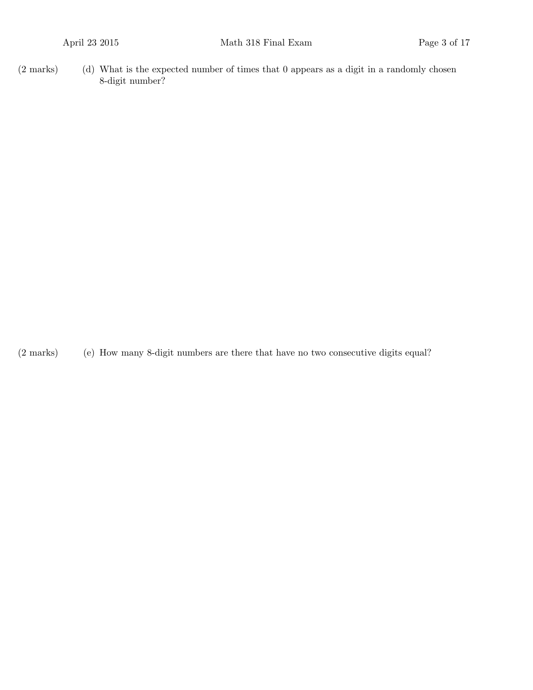(d)(2 marks) What is the expected number of times that 0 appears as a digit in a randomly chosen 8-digit number?

(2 marks) (e) How many 8-digit numbers are there that have no two consecutive digits equal?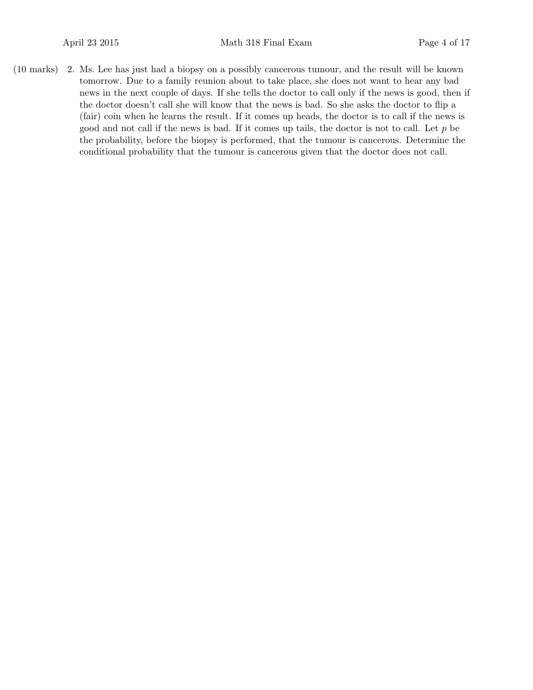(10 marks) 2. Ms. Lee has just had a biopsy on a possibly cancerous tumour, and the result will be known tomorrow. Due to a family reunion about to take place, she does not want to hear any bad news in the next couple of days. If she tells the doctor to call only if the news is good, then if the doctor doesn't call she will know that the news is bad. So she asks the doctor to flip a (fair) coin when he learns the result. If it comes up heads, the doctor is to call if the news is good and not call if the news is bad. If it comes up tails, the doctor is not to call. Let  $p$  be the probability, before the biopsy is performed, that the tumour is cancerous. Determine the conditional probability that the tumour is cancerous given that the doctor does not call.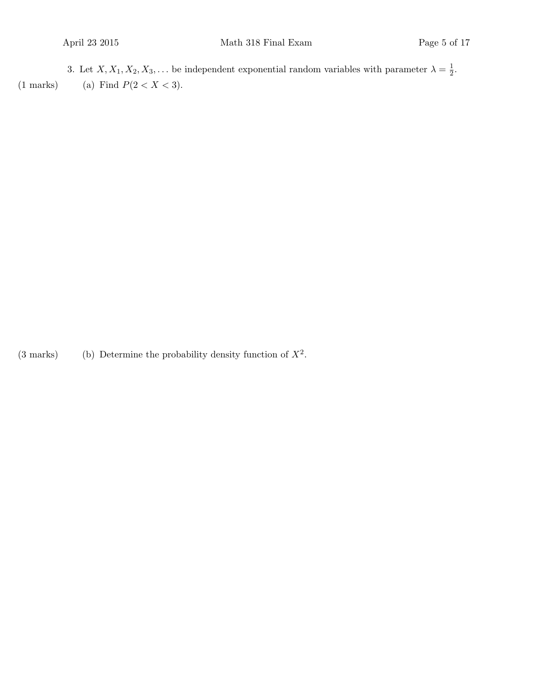3. Let  $X, X_1, X_2, X_3, \ldots$  be independent exponential random variables with parameter  $\lambda = \frac{1}{2}$  $\frac{1}{2}$ . (1 marks) (a) Find  $P(2 < X < 3)$ .

(3 marks) (b) Determine the probability density function of  $X^2$ .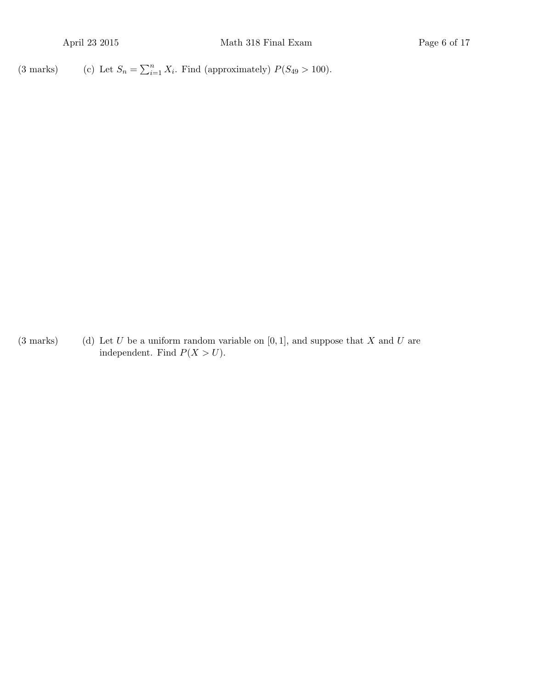(3 marks) (c) Let  $S_n = \sum_{i=1}^n X_i$ . Find (approximately)  $P(S_{49} > 100)$ .

(3 marks) (d) Let U be a uniform random variable on  $[0, 1]$ , and suppose that X and U are independent. Find  $P(X > U)$ .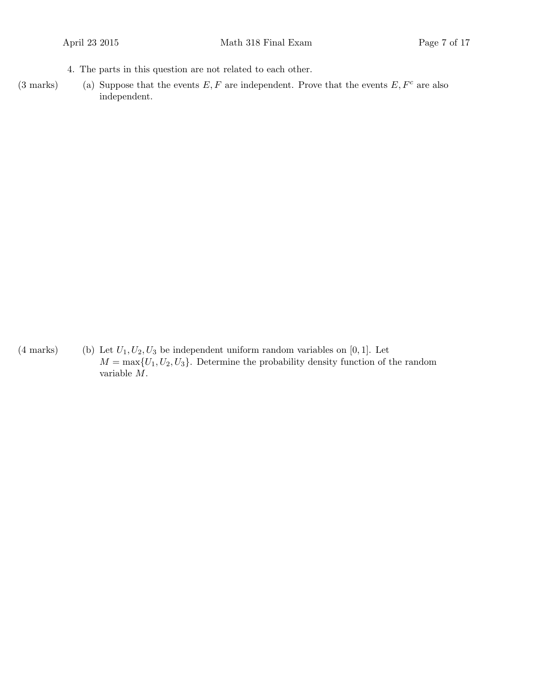- 4. The parts in this question are not related to each other.
- (3 marks) (a) Suppose that the events  $E, F$  are independent. Prove that the events  $E, F<sup>c</sup>$  are also independent.

(4 marks) (b) Let  $U_1, U_2, U_3$  be independent uniform random variables on [0, 1]. Let  $M = \max\{U_1, U_2, U_3\}$ . Determine the probability density function of the random variable M.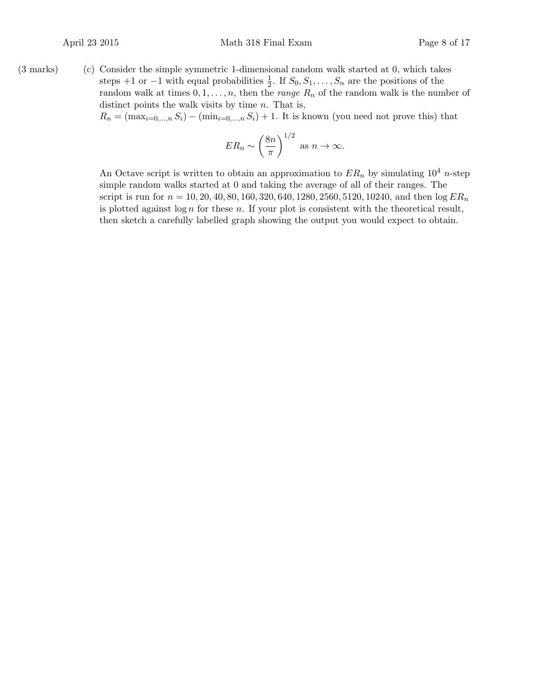$(3 \text{ marks})$   $(c)$  Consider the simple symmetric 1-dimensional random walk started at 0, which takes steps +1 or -1 with equal probabilities  $\frac{1}{2}$ . If  $S_0, S_1, \ldots, S_n$  are the positions of the random walk at times  $0, 1, \ldots, n$ , then the *range*  $R_n$  of the random walk is the number of distinct points the walk visits by time  $n$ . That is,  $R_n = (\max_{i=0,\dots,n} S_i) - (\min_{i=0,\dots,n} S_i) + 1$ . It is known (you need not prove this) that

$$
ER_n \sim \left(\frac{8n}{\pi}\right)^{1/2} \text{ as } n \to \infty.
$$

An Octave script is written to obtain an approximation to  $ER_n$  by simulating  $10^4$  n-step simple random walks started at 0 and taking the average of all of their ranges. The script is run for  $n = 10, 20, 40, 80, 160, 320, 640, 1280, 2560, 5120, 10240$ , and then  $\log ER_n$ is plotted against  $\log n$  for these n. If your plot is consistent with the theoretical result, then sketch a carefully labelled graph showing the output you would expect to obtain.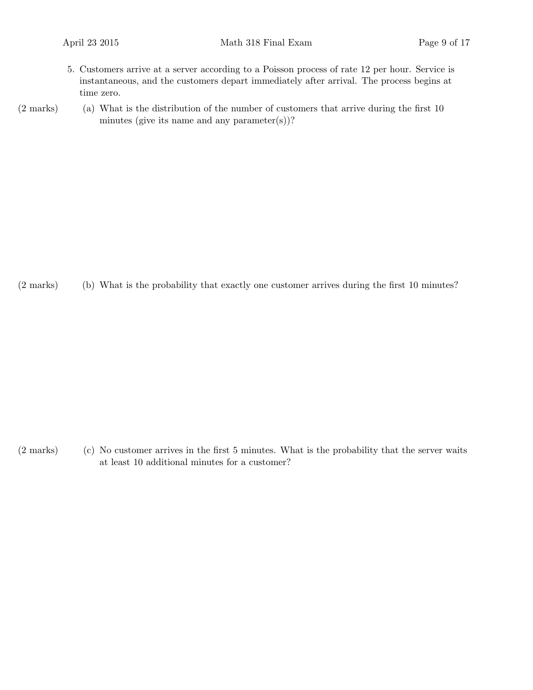- 5. Customers arrive at a server according to a Poisson process of rate 12 per hour. Service is instantaneous, and the customers depart immediately after arrival. The process begins at time zero.
- $(2 \text{ marks})$  (a) What is the distribution of the number of customers that arrive during the first 10 minutes (give its name and any parameter $(s)$ )?

(b)(2 marks) What is the probability that exactly one customer arrives during the first 10 minutes?

 $(2 \text{ marks})$  (c) No customer arrives in the first 5 minutes. What is the probability that the server waits at least 10 additional minutes for a customer?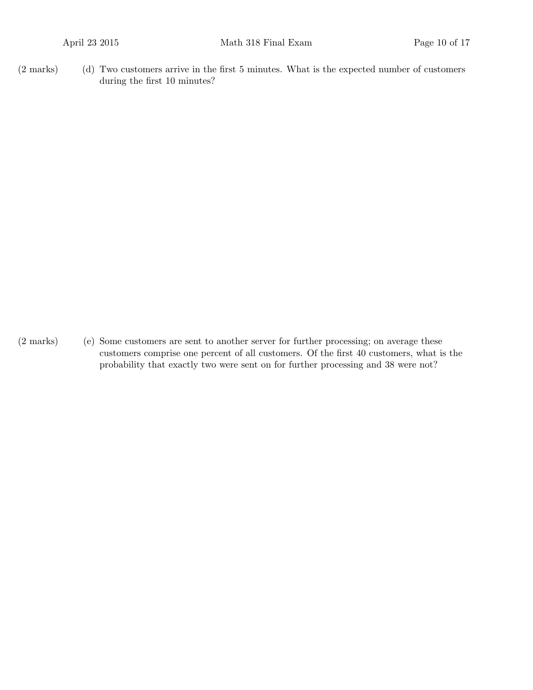(d)(2 marks) Two customers arrive in the first 5 minutes. What is the expected number of customers during the first 10 minutes?

 $(2 \text{ marks})$  (e) Some customers are sent to another server for further processing; on average these customers comprise one percent of all customers. Of the first 40 customers, what is the probability that exactly two were sent on for further processing and 38 were not?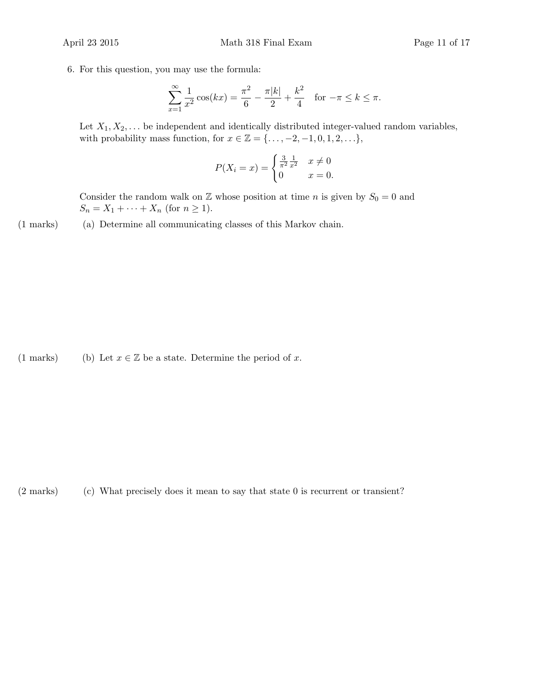6. For this question, you may use the formula:

$$
\sum_{x=1}^{\infty} \frac{1}{x^2} \cos(kx) = \frac{\pi^2}{6} - \frac{\pi|k|}{2} + \frac{k^2}{4} \quad \text{for } -\pi \le k \le \pi.
$$

Let  $X_1, X_2, \ldots$  be independent and identically distributed integer-valued random variables, with probability mass function, for  $x \in \mathbb{Z} = \{\ldots, -2, -1, 0, 1, 2, \ldots\},\$ 

$$
P(X_i = x) = \begin{cases} \frac{3}{\pi^2} \frac{1}{x^2} & x \neq 0\\ 0 & x = 0. \end{cases}
$$

Consider the random walk on  $\mathbb Z$  whose position at time n is given by  $S_0 = 0$  and  $S_n = X_1 + \cdots + X_n$  (for  $n \ge 1$ ).

(1 marks) (a) Determine all communicating classes of this Markov chain.

(1 marks) (b) Let  $x \in \mathbb{Z}$  be a state. Determine the period of x.

 $(2 \text{ marks})$  (c) What precisely does it mean to say that state 0 is recurrent or transient?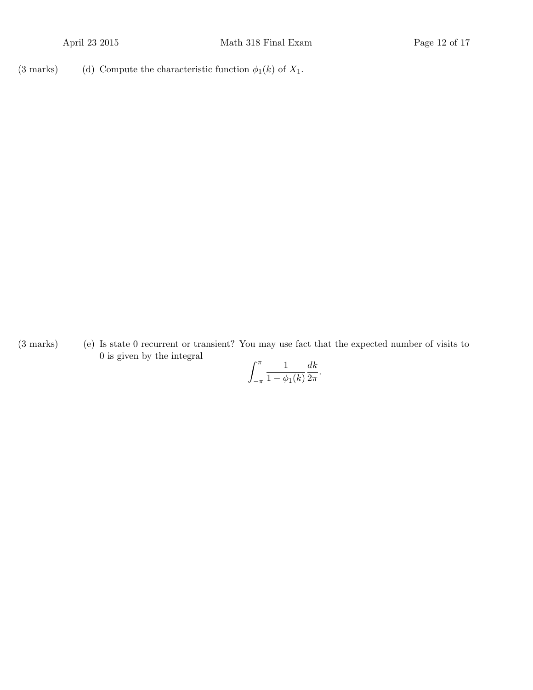(3 marks) (d) Compute the characteristic function  $\phi_1(k)$  of  $X_1$ .

(3 marks) (e) Is state 0 recurrent or transient? You may use fact that the expected number of visits to 0 is given by the integral

$$
\int_{-\pi}^{\pi} \frac{1}{1 - \phi_1(k)} \frac{dk}{2\pi}.
$$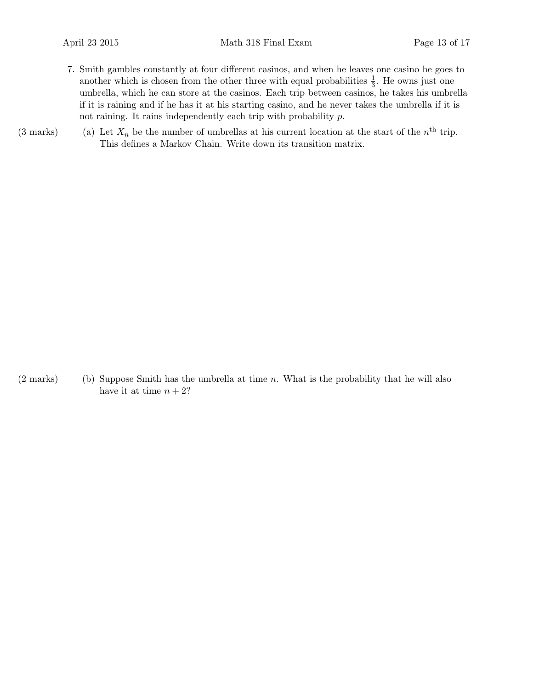- 7. Smith gambles constantly at four different casinos, and when he leaves one casino he goes to another which is chosen from the other three with equal probabilities  $\frac{1}{3}$ . He owns just one umbrella, which he can store at the casinos. Each trip between casinos, he takes his umbrella if it is raining and if he has it at his starting casino, and he never takes the umbrella if it is not raining. It rains independently each trip with probability p.
- (3 marks) (a) Let  $X_n$  be the number of umbrellas at his current location at the start of the  $n<sup>th</sup>$  trip. This defines a Markov Chain. Write down its transition matrix.

 $(2 \text{ marks})$  (b) Suppose Smith has the umbrella at time n. What is the probability that he will also have it at time  $n + 2$ ?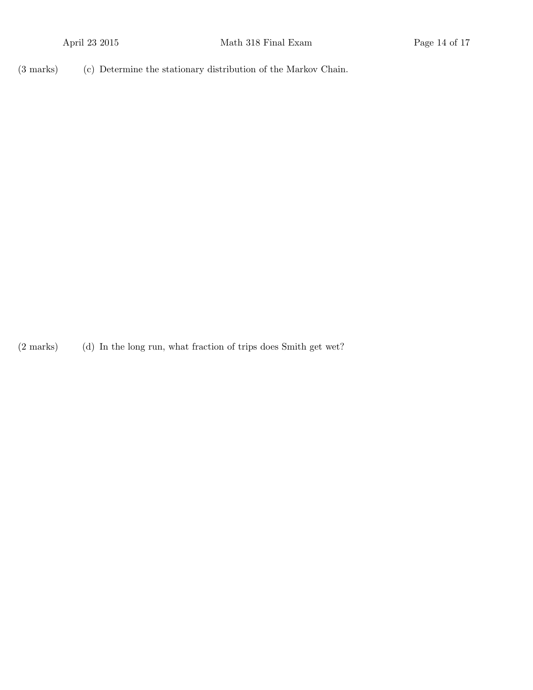(3 marks) (c) Determine the stationary distribution of the Markov Chain.

(2 marks) In the long run, what fraction of trips does Smith get wet?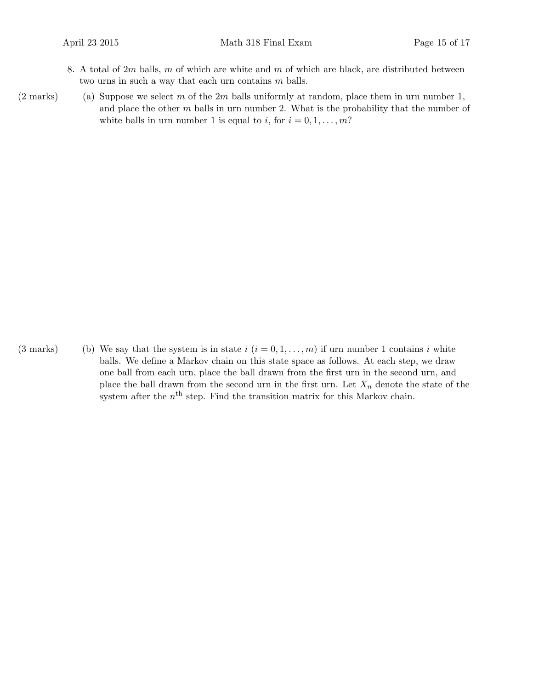- 8. A total of  $2m$  balls, m of which are white and m of which are black, are distributed between two urns in such a way that each urn contains  $m$  balls.
- (2 marks) (a) Suppose we select m of the  $2m$  balls uniformly at random, place them in urn number 1, and place the other  $m$  balls in urn number 2. What is the probability that the number of white balls in urn number 1 is equal to i, for  $i = 0, 1, \ldots, m$ ?

(3 marks) (b) We say that the system is in state  $i$   $(i = 0, 1, \ldots, m)$  if urn number 1 contains i white balls. We define a Markov chain on this state space as follows. At each step, we draw one ball from each urn, place the ball drawn from the first urn in the second urn, and place the ball drawn from the second urn in the first urn. Let  $X_n$  denote the state of the system after the  $n<sup>th</sup>$  step. Find the transition matrix for this Markov chain.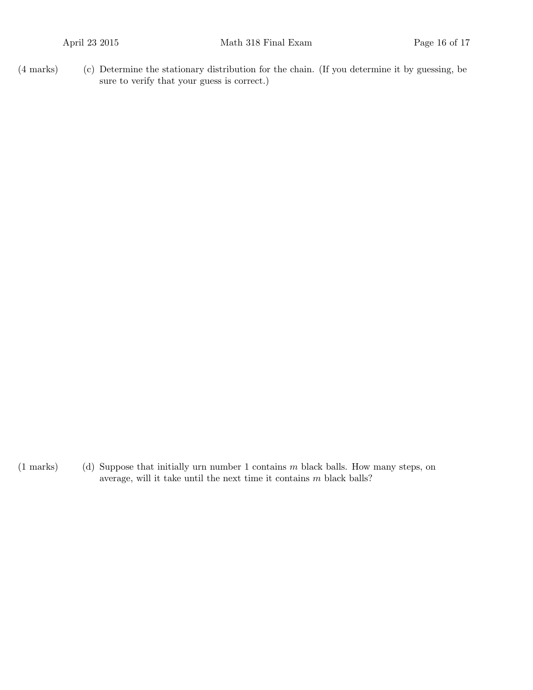(c)(4 marks) Determine the stationary distribution for the chain. (If you determine it by guessing, be sure to verify that your guess is correct.)

(1 marks) (d) Suppose that initially urn number 1 contains  $m$  black balls. How many steps, on average, will it take until the next time it contains  $m$  black balls?